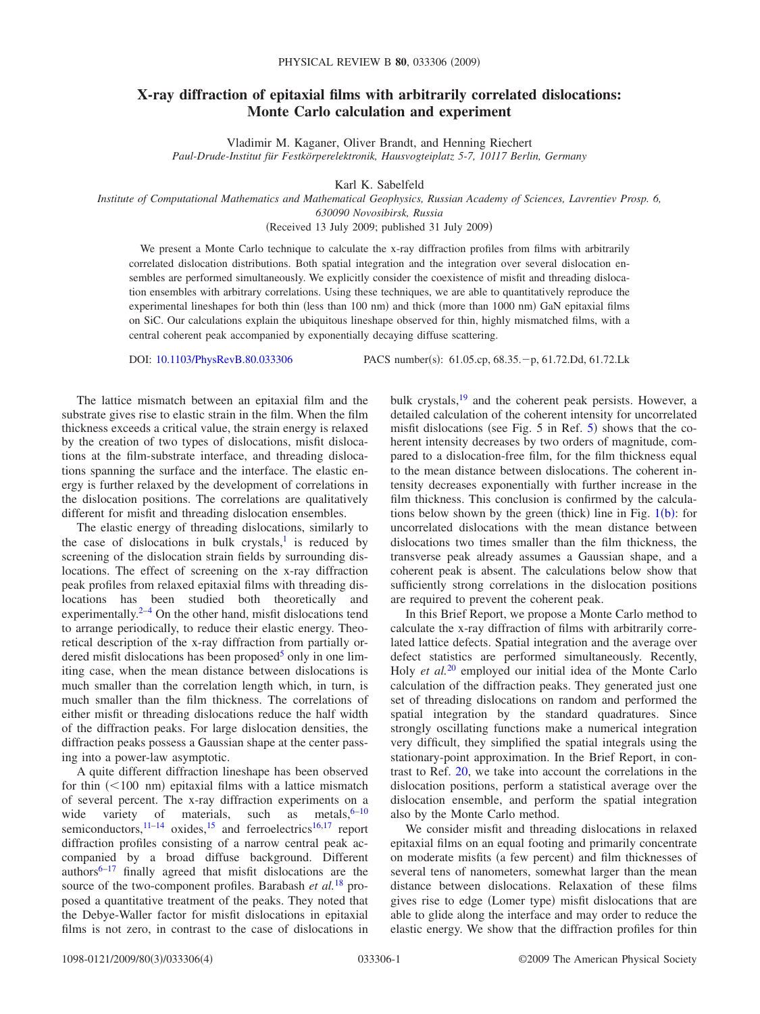## **X-ray diffraction of epitaxial films with arbitrarily correlated dislocations: Monte Carlo calculation and experiment**

Vladimir M. Kaganer, Oliver Brandt, and Henning Riechert

*Paul-Drude-Institut für Festkörperelektronik, Hausvogteiplatz 5-7, 10117 Berlin, Germany*

Karl K. Sabelfeld

*Institute of Computational Mathematics and Mathematical Geophysics, Russian Academy of Sciences, Lavrentiev Prosp. 6, 630090 Novosibirsk, Russia*

Received 13 July 2009; published 31 July 2009-

We present a Monte Carlo technique to calculate the x-ray diffraction profiles from films with arbitrarily correlated dislocation distributions. Both spatial integration and the integration over several dislocation ensembles are performed simultaneously. We explicitly consider the coexistence of misfit and threading dislocation ensembles with arbitrary correlations. Using these techniques, we are able to quantitatively reproduce the experimental lineshapes for both thin (less than 100 nm) and thick (more than 1000 nm) GaN epitaxial films on SiC. Our calculations explain the ubiquitous lineshape observed for thin, highly mismatched films, with a central coherent peak accompanied by exponentially decaying diffuse scattering.

DOI: [10.1103/PhysRevB.80.033306](http://dx.doi.org/10.1103/PhysRevB.80.033306)

PACS number(s): 61.05.cp, 68.35. - p, 61.72.Dd, 61.72.Lk

The lattice mismatch between an epitaxial film and the substrate gives rise to elastic strain in the film. When the film thickness exceeds a critical value, the strain energy is relaxed by the creation of two types of dislocations, misfit dislocations at the film-substrate interface, and threading dislocations spanning the surface and the interface. The elastic energy is further relaxed by the development of correlations in the dislocation positions. The correlations are qualitatively different for misfit and threading dislocation ensembles.

The elastic energy of threading dislocations, similarly to the case of dislocations in bulk crystals, $\frac{1}{1}$  is reduced by screening of the dislocation strain fields by surrounding dislocations. The effect of screening on the x-ray diffraction peak profiles from relaxed epitaxial films with threading dislocations has been studied both theoretically and experimentally. $2-4$  $2-4$  On the other hand, misfit dislocations tend to arrange periodically, to reduce their elastic energy. Theoretical description of the x-ray diffraction from partially ordered misfit dislocations has been proposed $<sup>5</sup>$  only in one lim-</sup> iting case, when the mean distance between dislocations is much smaller than the correlation length which, in turn, is much smaller than the film thickness. The correlations of either misfit or threading dislocations reduce the half width of the diffraction peaks. For large dislocation densities, the diffraction peaks possess a Gaussian shape at the center passing into a power-law asymptotic.

A quite different diffraction lineshape has been observed for thin  $(< 100$  nm) epitaxial films with a lattice mismatch of several percent. The x-ray diffraction experiments on a wide variety of materials, such as metals,  $6-10$ semiconductors, $11-14$  oxides,  $15$  and ferroelectrics<sup>16[,17](#page-3-10)</sup> report diffraction profiles consisting of a narrow central peak accompanied by a broad diffuse background. Different authors $6-17$  finally agreed that misfit dislocations are the source of the two-component profiles. Barabash *et al.*[18](#page-3-11) proposed a quantitative treatment of the peaks. They noted that the Debye-Waller factor for misfit dislocations in epitaxial films is not zero, in contrast to the case of dislocations in bulk crystals,<sup>19</sup> and the coherent peak persists. However, a detailed calculation of the coherent intensity for uncorrelated misfit dislocations (see Fig.  $5$  in Ref.  $5$ ) shows that the coherent intensity decreases by two orders of magnitude, compared to a dislocation-free film, for the film thickness equal to the mean distance between dislocations. The coherent intensity decreases exponentially with further increase in the film thickness. This conclusion is confirmed by the calculations below shown by the green (thick) line in Fig.  $1(b)$  $1(b)$ : for uncorrelated dislocations with the mean distance between dislocations two times smaller than the film thickness, the transverse peak already assumes a Gaussian shape, and a coherent peak is absent. The calculations below show that sufficiently strong correlations in the dislocation positions are required to prevent the coherent peak.

In this Brief Report, we propose a Monte Carlo method to calculate the x-ray diffraction of films with arbitrarily correlated lattice defects. Spatial integration and the average over defect statistics are performed simultaneously. Recently, Holy *et al.*[20](#page-3-13) employed our initial idea of the Monte Carlo calculation of the diffraction peaks. They generated just one set of threading dislocations on random and performed the spatial integration by the standard quadratures. Since strongly oscillating functions make a numerical integration very difficult, they simplified the spatial integrals using the stationary-point approximation. In the Brief Report, in contrast to Ref. [20,](#page-3-13) we take into account the correlations in the dislocation positions, perform a statistical average over the dislocation ensemble, and perform the spatial integration also by the Monte Carlo method.

We consider misfit and threading dislocations in relaxed epitaxial films on an equal footing and primarily concentrate on moderate misfits (a few percent) and film thicknesses of several tens of nanometers, somewhat larger than the mean distance between dislocations. Relaxation of these films gives rise to edge (Lomer type) misfit dislocations that are able to glide along the interface and may order to reduce the elastic energy. We show that the diffraction profiles for thin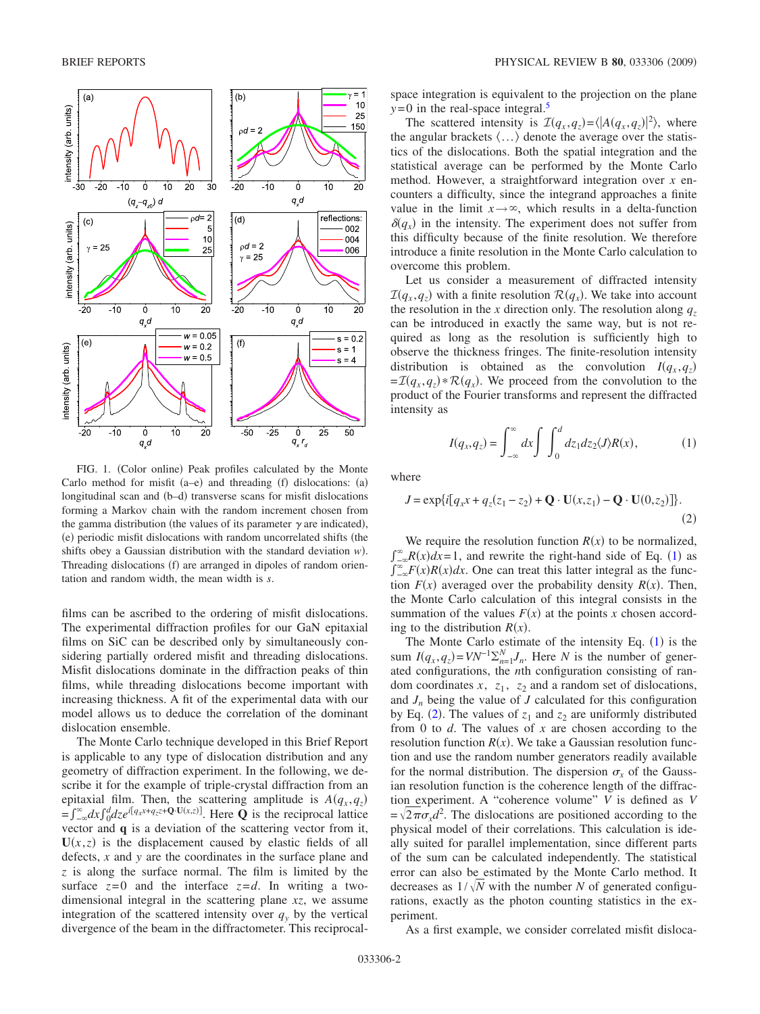<span id="page-1-0"></span>

FIG. 1. (Color online) Peak profiles calculated by the Monte Carlo method for misfit  $(a-e)$  and threading (f) dislocations:  $(a)$ longitudinal scan and (b-d) transverse scans for misfit dislocations forming a Markov chain with the random increment chosen from the gamma distribution (the values of its parameter  $\gamma$  are indicated), (e) periodic misfit dislocations with random uncorrelated shifts (the shifts obey a Gaussian distribution with the standard deviation  $w$ ). Threading dislocations (f) are arranged in dipoles of random orientation and random width, the mean width is *s*.

films can be ascribed to the ordering of misfit dislocations. The experimental diffraction profiles for our GaN epitaxial films on SiC can be described only by simultaneously considering partially ordered misfit and threading dislocations. Misfit dislocations dominate in the diffraction peaks of thin films, while threading dislocations become important with increasing thickness. A fit of the experimental data with our model allows us to deduce the correlation of the dominant dislocation ensemble.

The Monte Carlo technique developed in this Brief Report is applicable to any type of dislocation distribution and any geometry of diffraction experiment. In the following, we describe it for the example of triple-crystal diffraction from an epitaxial film. Then, the scattering amplitude is  $A(q_x, q_z)$  $=\int_{-\infty}^{\infty} dx \int_{0}^{d} dz e^{i[q_x x + q_z z + \mathbf{Q} \cdot \mathbf{U}(x,z)]}$ . Here **Q** is the reciprocal lattice vector and **q** is a deviation of the scattering vector from it,  $U(x, z)$  is the displacement caused by elastic fields of all defects, *x* and *y* are the coordinates in the surface plane and *z* is along the surface normal. The film is limited by the surface  $z=0$  and the interface  $z=d$ . In writing a twodimensional integral in the scattering plane *xz*, we assume integration of the scattered intensity over  $q_y$  by the vertical divergence of the beam in the diffractometer. This reciprocalspace integration is equivalent to the projection on the plane  $y=0$  in the real-space integral.<sup>5</sup>

The scattered intensity is  $\mathcal{I}(q_x, q_z) = \langle |A(q_x, q_z)|^2 \rangle$ , where the angular brackets  $\langle \ldots \rangle$  denote the average over the statistics of the dislocations. Both the spatial integration and the statistical average can be performed by the Monte Carlo method. However, a straightforward integration over *x* encounters a difficulty, since the integrand approaches a finite value in the limit  $x \rightarrow \infty$ , which results in a delta-function  $\delta(q_x)$  in the intensity. The experiment does not suffer from this difficulty because of the finite resolution. We therefore introduce a finite resolution in the Monte Carlo calculation to overcome this problem.

Let us consider a measurement of diffracted intensity  $\mathcal{I}(q_x, q_z)$  with a finite resolution  $\mathcal{R}(q_x)$ . We take into account the resolution in the *x* direction only. The resolution along  $q_z$ can be introduced in exactly the same way, but is not required as long as the resolution is sufficiently high to observe the thickness fringes. The finite-resolution intensity distribution is obtained as the convolution  $I(q_x, q_z)$  $=\mathcal{I}(q_x, q_z) * \mathcal{R}(q_x)$ . We proceed from the convolution to the product of the Fourier transforms and represent the diffracted intensity as

$$
I(q_x, q_z) = \int_{-\infty}^{\infty} dx \int \int_{0}^{d} dz_1 dz_2 \langle J \rangle R(x), \tag{1}
$$

<span id="page-1-1"></span>where

<span id="page-1-2"></span>
$$
J = \exp\{i[q_x x + q_z(z_1 - z_2) + \mathbf{Q} \cdot \mathbf{U}(x, z_1) - \mathbf{Q} \cdot \mathbf{U}(0, z_2)]\}.
$$
\n(2)

We require the resolution function  $R(x)$  to be normalized,  $\int_{-\infty}^{\infty} R(x) dx = 1$  $\int_{-\infty}^{\infty} R(x) dx = 1$ , and rewrite the right-hand side of Eq. (1) as  $\int_{-\infty}^{\infty} F(x)R(x)dx$ . One can treat this latter integral as the function  $F(x)$  averaged over the probability density  $R(x)$ . Then, the Monte Carlo calculation of this integral consists in the summation of the values  $F(x)$  at the points *x* chosen according to the distribution  $R(x)$ .

The Monte Carlo estimate of the intensity Eq.  $(1)$  $(1)$  $(1)$  is the sum  $I(q_x, q_z) = VN^{-1}\sum_{n=1}^{N}J_n$ . Here *N* is the number of generated configurations, the *n*th configuration consisting of random coordinates  $x$ ,  $z_1$ ,  $z_2$  and a random set of dislocations, and  $J_n$  being the value of  $J$  calculated for this configuration by Eq. ([2](#page-1-2)). The values of  $z_1$  and  $z_2$  are uniformly distributed from 0 to *d*. The values of *x* are chosen according to the resolution function  $R(x)$ . We take a Gaussian resolution function and use the random number generators readily available for the normal distribution. The dispersion  $\sigma_x$  of the Gaussian resolution function is the coherence length of the diffraction experiment. A "coherence volume" *V* is defined as *V*  $=\sqrt{2\pi}\sigma_x d^2$ . The dislocations are positioned according to the physical model of their correlations. This calculation is ideally suited for parallel implementation, since different parts of the sum can be calculated independently. The statistical error can also be estimated by the Monte Carlo method. It decreases as  $1/\sqrt{N}$  with the number *N* of generated configurations, exactly as the photon counting statistics in the experiment.

As a first example, we consider correlated misfit disloca-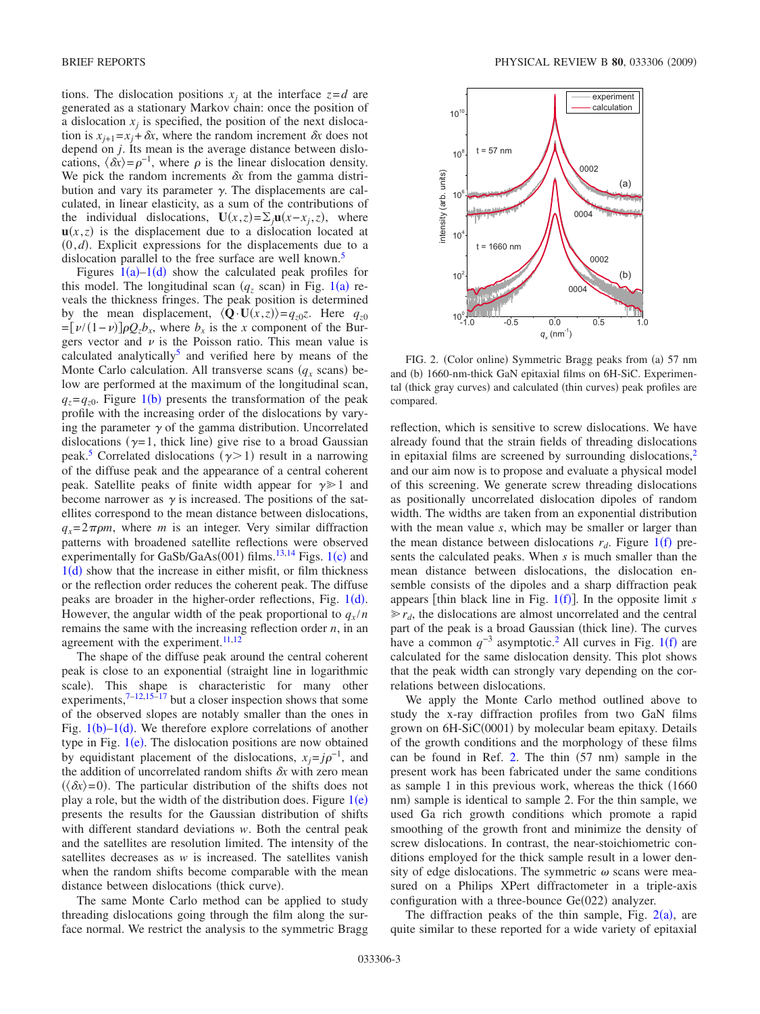tions. The dislocation positions  $x_i$  at the interface  $z = d$  are generated as a stationary Markov chain: once the position of a dislocation  $x_i$  is specified, the position of the next dislocation is  $x_{i+1} = x_i + \delta x$ , where the random increment  $\delta x$  does not depend on *j*. Its mean is the average distance between dislocations,  $\langle \delta x \rangle = \rho^{-1}$ , where  $\rho$  is the linear dislocation density. We pick the random increments  $\delta x$  from the gamma distribution and vary its parameter  $\gamma$ . The displacements are calculated, in linear elasticity, as a sum of the contributions of the individual dislocations,  $U(x, z) = \sum_j u(x - x_j, z)$ , where  $u(x, z)$  is the displacement due to a dislocation located at  $(0,d)$ . Explicit expressions for the displacements due to a dislocation parallel to the free surface are well known.<sup>5</sup>

Figures  $1(a)-1(d)$  $1(a)-1(d)$  show the calculated peak profiles for this model. The longitudinal scan  $(q_z \text{ scan})$  in Fig. [1](#page-1-0)(a) reveals the thickness fringes. The peak position is determined by the mean displacement,  $\langle \mathbf{Q} \cdot \mathbf{U}(x, z) \rangle = q_{z0} z$ . Here  $q_{z0}$  $=[\nu/(1-\nu)]\rho Q_zb_x$ , where  $b_x$  is the *x* component of the Burgers vector and  $\nu$  is the Poisson ratio. This mean value is calculated analytically<sup>5</sup> and verified here by means of the Monte Carlo calculation. All transverse scans  $(q_x \text{ scans})$  below are performed at the maximum of the longitudinal scan,  $q_z = q_{z0}$ . Figure [1](#page-1-0)(b) presents the transformation of the peak profile with the increasing order of the dislocations by varying the parameter  $\gamma$  of the gamma distribution. Uncorrelated dislocations ( $\gamma$ =1, thick line) give rise to a broad Gaussian peak.<sup>5</sup> Correlated dislocations  $(\gamma > 1)$  result in a narrowing of the diffuse peak and the appearance of a central coherent peak. Satellite peaks of finite width appear for  $\gamma \geq 1$  and become narrower as  $\gamma$  is increased. The positions of the satellites correspond to the mean distance between dislocations,  $q_r = 2 \pi \rho m$ , where *m* is an integer. Very similar diffraction patterns with broadened satellite reflections were observed experimentally for GaSb/GaAs $(001)$  $(001)$  $(001)$  films.<sup>13,[14](#page-3-7)</sup> Figs. 1(c) and  $1(d)$  $1(d)$  show that the increase in either misfit, or film thickness or the reflection order reduces the coherent peak. The diffuse peaks are broader in the higher-order reflections, Fig.  $1(d)$  $1(d)$ . However, the angular width of the peak proportional to  $q_x/n$ remains the same with the increasing reflection order *n*, in an agreement with the experiment. $11,12$  $11,12$ 

The shape of the diffuse peak around the central coherent peak is close to an exponential (straight line in logarithmic scale). This shape is characteristic for many other experiments, $7\frac{-12,15-17}{ }$  $7\frac{-12,15-17}{ }$  $7\frac{-12,15-17}{ }$  $7\frac{-12,15-17}{ }$  but a closer inspection shows that some of the observed slopes are notably smaller than the ones in Fig.  $1(b)-1(d)$  $1(b)-1(d)$ . We therefore explore correlations of another type in Fig.  $1(e)$  $1(e)$ . The dislocation positions are now obtained by equidistant placement of the dislocations,  $x_j = j\rho^{-1}$ , and the addition of uncorrelated random shifts  $\delta x$  with zero mean  $(\langle \delta x \rangle = 0)$ . The particular distribution of the shifts does not play a role, but the width of the distribution does. Figure  $1(e)$  $1(e)$ presents the results for the Gaussian distribution of shifts with different standard deviations *w*. Both the central peak and the satellites are resolution limited. The intensity of the satellites decreases as *w* is increased. The satellites vanish when the random shifts become comparable with the mean distance between dislocations (thick curve).

The same Monte Carlo method can be applied to study threading dislocations going through the film along the surface normal. We restrict the analysis to the symmetric Bragg

<span id="page-2-0"></span>

FIG. 2. (Color online) Symmetric Bragg peaks from (a) 57 nm and (b) 1660-nm-thick GaN epitaxial films on 6H-SiC. Experimental (thick gray curves) and calculated (thin curves) peak profiles are compared.

reflection, which is sensitive to screw dislocations. We have already found that the strain fields of threading dislocations in epitaxial films are screened by surrounding dislocations, $<sup>2</sup>$ </sup> and our aim now is to propose and evaluate a physical model of this screening. We generate screw threading dislocations as positionally uncorrelated dislocation dipoles of random width. The widths are taken from an exponential distribution with the mean value *s*, which may be smaller or larger than the mean distance between dislocations  $r_d$ . Figure [1](#page-1-0)(f) presents the calculated peaks. When *s* is much smaller than the mean distance between dislocations, the dislocation ensemble consists of the dipoles and a sharp diffraction peak appears [thin black line in Fig. [1](#page-1-0)(f)]. In the opposite limit *s*  $\gg r_d$ , the dislocations are almost uncorrelated and the central part of the peak is a broad Gaussian (thick line). The curves have a common  $q^{-3}$  asymptotic.<sup>2</sup> All curves in Fig. [1](#page-1-0)(f) are calculated for the same dislocation density. This plot shows that the peak width can strongly vary depending on the correlations between dislocations.

We apply the Monte Carlo method outlined above to study the x-ray diffraction profiles from two GaN films grown on 6H-SiC(0001) by molecular beam epitaxy. Details of the growth conditions and the morphology of these films can be found in Ref. [2.](#page-3-1) The thin  $(57 \text{ nm})$  sample in the present work has been fabricated under the same conditions as sample 1 in this previous work, whereas the thick 1660 nm) sample is identical to sample 2. For the thin sample, we used Ga rich growth conditions which promote a rapid smoothing of the growth front and minimize the density of screw dislocations. In contrast, the near-stoichiometric conditions employed for the thick sample result in a lower density of edge dislocations. The symmetric  $\omega$  scans were measured on a Philips XPert diffractometer in a triple-axis configuration with a three-bounce  $Ge(022)$  analyzer.

The diffraction peaks of the thin sample, Fig.  $2(a)$  $2(a)$ , are quite similar to these reported for a wide variety of epitaxial